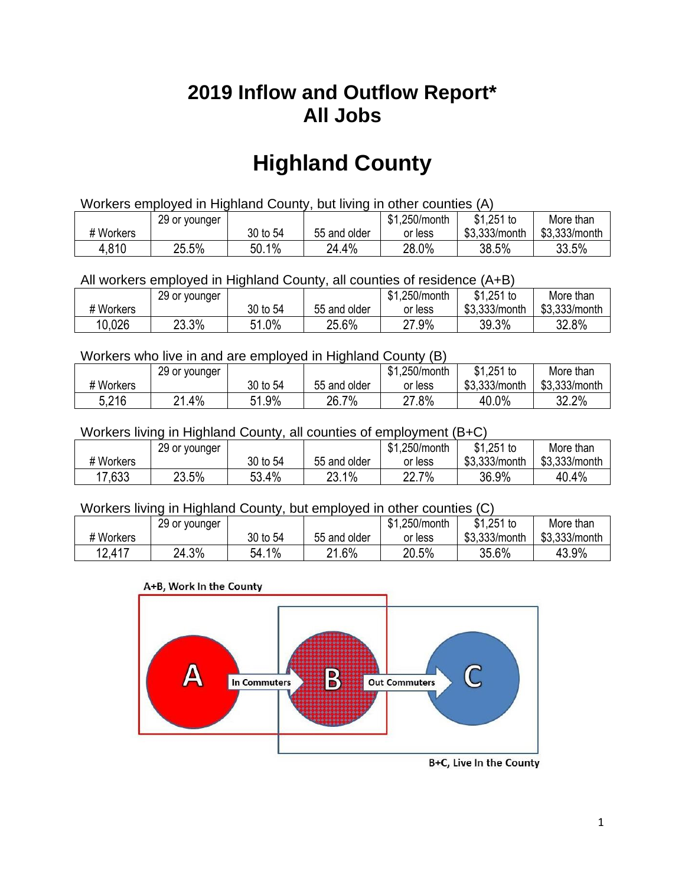## **2019 Inflow and Outflow Report\* All Jobs**

# **Highland County**

| Workers employed in Highland County, but living in other counties (A) |                                                           |          |              |         |               |               |  |  |  |
|-----------------------------------------------------------------------|-----------------------------------------------------------|----------|--------------|---------|---------------|---------------|--|--|--|
|                                                                       | \$1.251 to<br>\$1.250/month<br>More than<br>29 or younger |          |              |         |               |               |  |  |  |
| # Workers                                                             |                                                           | 30 to 54 | 55 and older | or less | \$3.333/month | \$3.333/month |  |  |  |
| 4.810                                                                 | 25.5%                                                     | 50.1%    | 24.4%        | 28.0%   | 38.5%         | 33.5%         |  |  |  |

All workers employed in Highland County, all counties of residence (A+B)

|           | 29 or younger |          |              | \$1,250/month | $$1,251$ to   | More than     |
|-----------|---------------|----------|--------------|---------------|---------------|---------------|
| # Workers |               | 30 to 54 | 55 and older | or less       | \$3,333/month | \$3,333/month |
| 10,026    | 23.3%         | 51.0%    | 25.6%        | 27.9%         | 39.3%         | 32.8%         |

#### Workers who live in and are employed in Highland County (B)

|           | 29 or younger |          |              | \$1,250/month | $$1,251$ to   | More than     |
|-----------|---------------|----------|--------------|---------------|---------------|---------------|
| # Workers |               | 30 to 54 | 55 and older | or less       | \$3,333/month | \$3,333/month |
| 5,216     | $.4\%$<br>ິດ  | 51.9%    | 26.7%        | 27.8%         | 40.0%         | 32.2%         |

### Workers living in Highland County, all counties of employment (B+C)

|           | 29 or younger |              |              | \$1,250/month | \$1,251 to    | More than     |
|-----------|---------------|--------------|--------------|---------------|---------------|---------------|
| # Workers |               | 30 to 54     | 55 and older | or less       | \$3,333/month | \$3,333/month |
| 17,633    | 23.5%         | 53.4%<br>гΩ. | 23.1%        | 22.7%         | 36.9%         | 40.4%         |

#### Workers living in Highland County, but employed in other counties (C)

|           | 29 or younger | .250/month<br>$$1,251$ to<br><b>ሰ</b><br>More than<br>ונה |              |         |               |               |  |
|-----------|---------------|-----------------------------------------------------------|--------------|---------|---------------|---------------|--|
| # Workers |               | 30 to 54                                                  | 55 and older | or less | \$3,333/month | \$3,333/month |  |
| 12,417    | 24.3%         | 54.1%                                                     | l.6%<br>ኅ 1  | 20.5%   | 35.6%         | 43.9%         |  |

#### A+B, Work In the County